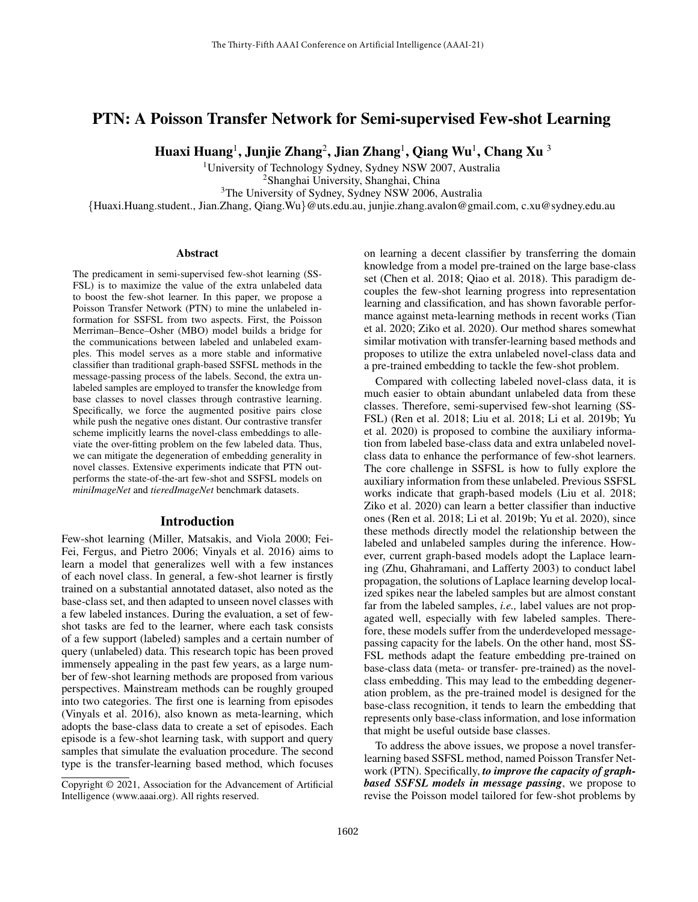# PTN: A Poisson Transfer Network for Semi-supervised Few-shot Learning

Huaxi Huang $^1$ , Junjie Zhang $^2$ , Jian Zhang $^1$ , Qiang Wu $^1$ , Chang Xu  $^3$ 

<sup>1</sup>University of Technology Sydney, Sydney NSW 2007, Australia <sup>2</sup>Shanghai University, Shanghai, China

<sup>3</sup>The University of Sydney, Sydney NSW 2006, Australia

{Huaxi.Huang.student., Jian.Zhang, Qiang.Wu}@uts.edu.au, junjie.zhang.avalon@gmail.com, c.xu@sydney.edu.au

### **Abstract**

The predicament in semi-supervised few-shot learning (SS-FSL) is to maximize the value of the extra unlabeled data to boost the few-shot learner. In this paper, we propose a Poisson Transfer Network (PTN) to mine the unlabeled information for SSFSL from two aspects. First, the Poisson Merriman–Bence–Osher (MBO) model builds a bridge for the communications between labeled and unlabeled examples. This model serves as a more stable and informative classifier than traditional graph-based SSFSL methods in the message-passing process of the labels. Second, the extra unlabeled samples are employed to transfer the knowledge from base classes to novel classes through contrastive learning. Specifically, we force the augmented positive pairs close while push the negative ones distant. Our contrastive transfer scheme implicitly learns the novel-class embeddings to alleviate the over-fitting problem on the few labeled data. Thus, we can mitigate the degeneration of embedding generality in novel classes. Extensive experiments indicate that PTN outperforms the state-of-the-art few-shot and SSFSL models on *miniImageNet* and *tieredImageNet* benchmark datasets.

### Introduction

Few-shot learning (Miller, Matsakis, and Viola 2000; Fei-Fei, Fergus, and Pietro 2006; Vinyals et al. 2016) aims to learn a model that generalizes well with a few instances of each novel class. In general, a few-shot learner is firstly trained on a substantial annotated dataset, also noted as the base-class set, and then adapted to unseen novel classes with a few labeled instances. During the evaluation, a set of fewshot tasks are fed to the learner, where each task consists of a few support (labeled) samples and a certain number of query (unlabeled) data. This research topic has been proved immensely appealing in the past few years, as a large number of few-shot learning methods are proposed from various perspectives. Mainstream methods can be roughly grouped into two categories. The first one is learning from episodes (Vinyals et al. 2016), also known as meta-learning, which adopts the base-class data to create a set of episodes. Each episode is a few-shot learning task, with support and query samples that simulate the evaluation procedure. The second type is the transfer-learning based method, which focuses

on learning a decent classifier by transferring the domain knowledge from a model pre-trained on the large base-class set (Chen et al. 2018; Qiao et al. 2018). This paradigm decouples the few-shot learning progress into representation learning and classification, and has shown favorable performance against meta-learning methods in recent works (Tian et al. 2020; Ziko et al. 2020). Our method shares somewhat similar motivation with transfer-learning based methods and proposes to utilize the extra unlabeled novel-class data and a pre-trained embedding to tackle the few-shot problem.

Compared with collecting labeled novel-class data, it is much easier to obtain abundant unlabeled data from these classes. Therefore, semi-supervised few-shot learning (SS-FSL) (Ren et al. 2018; Liu et al. 2018; Li et al. 2019b; Yu et al. 2020) is proposed to combine the auxiliary information from labeled base-class data and extra unlabeled novelclass data to enhance the performance of few-shot learners. The core challenge in SSFSL is how to fully explore the auxiliary information from these unlabeled. Previous SSFSL works indicate that graph-based models (Liu et al. 2018; Ziko et al. 2020) can learn a better classifier than inductive ones (Ren et al. 2018; Li et al. 2019b; Yu et al. 2020), since these methods directly model the relationship between the labeled and unlabeled samples during the inference. However, current graph-based models adopt the Laplace learning (Zhu, Ghahramani, and Lafferty 2003) to conduct label propagation, the solutions of Laplace learning develop localized spikes near the labeled samples but are almost constant far from the labeled samples, *i.e.,* label values are not propagated well, especially with few labeled samples. Therefore, these models suffer from the underdeveloped messagepassing capacity for the labels. On the other hand, most SS-FSL methods adapt the feature embedding pre-trained on base-class data (meta- or transfer- pre-trained) as the novelclass embedding. This may lead to the embedding degeneration problem, as the pre-trained model is designed for the base-class recognition, it tends to learn the embedding that represents only base-class information, and lose information that might be useful outside base classes.

To address the above issues, we propose a novel transferlearning based SSFSL method, named Poisson Transfer Network (PTN). Specifically, *to improve the capacity of graphbased SSFSL models in message passing*, we propose to revise the Poisson model tailored for few-shot problems by

Copyright © 2021, Association for the Advancement of Artificial Intelligence (www.aaai.org). All rights reserved.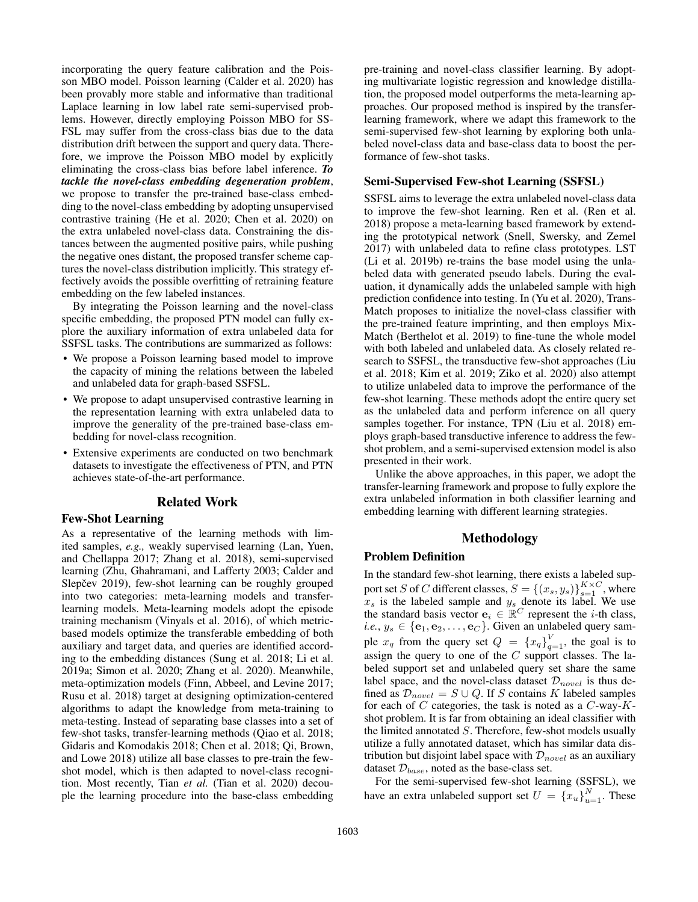incorporating the query feature calibration and the Poisson MBO model. Poisson learning (Calder et al. 2020) has been provably more stable and informative than traditional Laplace learning in low label rate semi-supervised problems. However, directly employing Poisson MBO for SS-FSL may suffer from the cross-class bias due to the data distribution drift between the support and query data. Therefore, we improve the Poisson MBO model by explicitly eliminating the cross-class bias before label inference. *To tackle the novel-class embedding degeneration problem*, we propose to transfer the pre-trained base-class embedding to the novel-class embedding by adopting unsupervised contrastive training (He et al. 2020; Chen et al. 2020) on the extra unlabeled novel-class data. Constraining the distances between the augmented positive pairs, while pushing the negative ones distant, the proposed transfer scheme captures the novel-class distribution implicitly. This strategy effectively avoids the possible overfitting of retraining feature embedding on the few labeled instances.

By integrating the Poisson learning and the novel-class specific embedding, the proposed PTN model can fully explore the auxiliary information of extra unlabeled data for SSFSL tasks. The contributions are summarized as follows:

- We propose a Poisson learning based model to improve the capacity of mining the relations between the labeled and unlabeled data for graph-based SSFSL.
- We propose to adapt unsupervised contrastive learning in the representation learning with extra unlabeled data to improve the generality of the pre-trained base-class embedding for novel-class recognition.
- Extensive experiments are conducted on two benchmark datasets to investigate the effectiveness of PTN, and PTN achieves state-of-the-art performance.

#### Related Work

### Few-Shot Learning

As a representative of the learning methods with limited samples, *e.g.,* weakly supervised learning (Lan, Yuen, and Chellappa 2017; Zhang et al. 2018), semi-supervised learning (Zhu, Ghahramani, and Lafferty 2003; Calder and Slepčev 2019), few-shot learning can be roughly grouped into two categories: meta-learning models and transferlearning models. Meta-learning models adopt the episode training mechanism (Vinyals et al. 2016), of which metricbased models optimize the transferable embedding of both auxiliary and target data, and queries are identified according to the embedding distances (Sung et al. 2018; Li et al. 2019a; Simon et al. 2020; Zhang et al. 2020). Meanwhile, meta-optimization models (Finn, Abbeel, and Levine 2017; Rusu et al. 2018) target at designing optimization-centered algorithms to adapt the knowledge from meta-training to meta-testing. Instead of separating base classes into a set of few-shot tasks, transfer-learning methods (Qiao et al. 2018; Gidaris and Komodakis 2018; Chen et al. 2018; Qi, Brown, and Lowe 2018) utilize all base classes to pre-train the fewshot model, which is then adapted to novel-class recognition. Most recently, Tian *et al.* (Tian et al. 2020) decouple the learning procedure into the base-class embedding

pre-training and novel-class classifier learning. By adopting multivariate logistic regression and knowledge distillation, the proposed model outperforms the meta-learning approaches. Our proposed method is inspired by the transferlearning framework, where we adapt this framework to the semi-supervised few-shot learning by exploring both unlabeled novel-class data and base-class data to boost the performance of few-shot tasks.

# Semi-Supervised Few-shot Learning (SSFSL)

SSFSL aims to leverage the extra unlabeled novel-class data to improve the few-shot learning. Ren et al. (Ren et al. 2018) propose a meta-learning based framework by extending the prototypical network (Snell, Swersky, and Zemel 2017) with unlabeled data to refine class prototypes. LST (Li et al. 2019b) re-trains the base model using the unlabeled data with generated pseudo labels. During the evaluation, it dynamically adds the unlabeled sample with high prediction confidence into testing. In (Yu et al. 2020), Trans-Match proposes to initialize the novel-class classifier with the pre-trained feature imprinting, and then employs Mix-Match (Berthelot et al. 2019) to fine-tune the whole model with both labeled and unlabeled data. As closely related research to SSFSL, the transductive few-shot approaches (Liu et al. 2018; Kim et al. 2019; Ziko et al. 2020) also attempt to utilize unlabeled data to improve the performance of the few-shot learning. These methods adopt the entire query set as the unlabeled data and perform inference on all query samples together. For instance, TPN (Liu et al. 2018) employs graph-based transductive inference to address the fewshot problem, and a semi-supervised extension model is also presented in their work.

Unlike the above approaches, in this paper, we adopt the transfer-learning framework and propose to fully explore the extra unlabeled information in both classifier learning and embedding learning with different learning strategies.

# Methodology

### Problem Definition

In the standard few-shot learning, there exists a labeled support set S of C different classes,  $S = \{(x_s, y_s)\}_{s=1}^{K \times C}$ , where  $x_s$  is the labeled sample and  $y_s$  denote its label. We use the standard basis vector  $\mathbf{e}_i \in \mathbb{R}^C$  represent the *i*-th class, *i.e.*,  $y_s \in \{e_1, e_2, \ldots, e_C\}$ . Given an unlabeled query sample  $x_q$  from the query set  $Q = \{x_q\}_{q=1}^V$ , the goal is to assign the query to one of the  $C$  support classes. The labeled support set and unlabeled query set share the same label space, and the novel-class dataset  $\mathcal{D}_{novel}$  is thus defined as  $\mathcal{D}_{novel} = S \cup Q$ . If S contains K labeled samples for each of  $C$  categories, the task is noted as a  $C$ -way- $K$ shot problem. It is far from obtaining an ideal classifier with the limited annotated S. Therefore, few-shot models usually utilize a fully annotated dataset, which has similar data distribution but disjoint label space with  $\mathcal{D}_{novel}$  as an auxiliary dataset  $\mathcal{D}_{base}$ , noted as the base-class set.

For the semi-supervised few-shot learning (SSFSL), we have an extra unlabeled support set  $U = \{x_u\}_{u=1}^N$ . These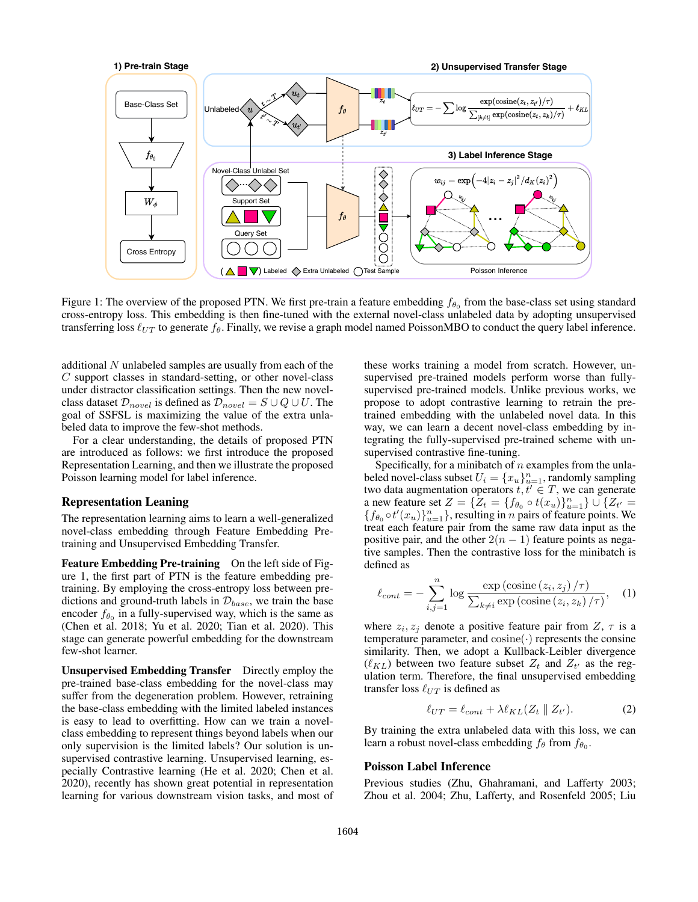

Figure 1: The overview of the proposed PTN. We first pre-train a feature embedding  $f_{\theta_0}$  from the base-class set using standard cross-entropy loss. This embedding is then fine-tuned with the external novel-class unlabeled data by adopting unsupervised transferring loss  $\ell_{UT}$  to generate  $f_\theta$ . Finally, we revise a graph model named PoissonMBO to conduct the query label inference.

additional N unlabeled samples are usually from each of the C support classes in standard-setting, or other novel-class under distractor classification settings. Then the new novelclass dataset  $\mathcal{D}_{novel}$  is defined as  $\mathcal{D}_{novel} = S \cup Q \cup U$ . The goal of SSFSL is maximizing the value of the extra unlabeled data to improve the few-shot methods.

For a clear understanding, the details of proposed PTN are introduced as follows: we first introduce the proposed Representation Learning, and then we illustrate the proposed Poisson learning model for label inference.

### Representation Leaning

The representation learning aims to learn a well-generalized novel-class embedding through Feature Embedding Pretraining and Unsupervised Embedding Transfer.

Feature Embedding Pre-training On the left side of Figure 1, the first part of PTN is the feature embedding pretraining. By employing the cross-entropy loss between predictions and ground-truth labels in  $\mathcal{D}_{base}$ , we train the base encoder  $f_{\theta_0}$  in a fully-supervised way, which is the same as (Chen et al. 2018; Yu et al. 2020; Tian et al. 2020). This stage can generate powerful embedding for the downstream few-shot learner.

Unsupervised Embedding Transfer Directly employ the pre-trained base-class embedding for the novel-class may suffer from the degeneration problem. However, retraining the base-class embedding with the limited labeled instances is easy to lead to overfitting. How can we train a novelclass embedding to represent things beyond labels when our only supervision is the limited labels? Our solution is unsupervised contrastive learning. Unsupervised learning, especially Contrastive learning (He et al. 2020; Chen et al. 2020), recently has shown great potential in representation learning for various downstream vision tasks, and most of

these works training a model from scratch. However, unsupervised pre-trained models perform worse than fullysupervised pre-trained models. Unlike previous works, we propose to adopt contrastive learning to retrain the pretrained embedding with the unlabeled novel data. In this way, we can learn a decent novel-class embedding by integrating the fully-supervised pre-trained scheme with unsupervised contrastive fine-tuning.

Specifically, for a minibatch of  $n$  examples from the unlabeled novel-class subset  $U_i = \{x_u\}_{u=1}^n$ , randomly sampling two data augmentation operators  $t, t' \in T$ , we can generate a new feature set  $Z = \{Z_t = \{f_{\theta_0} \circ t(x_u)\}_{u=1}^n\} \cup \{Z_{t'} =$  ${f_{\theta_0} \circ t'(x_u)}_{u=1}^n$ , resulting in *n* pairs of feature points. We treat each feature pair from the same raw data input as the positive pair, and the other  $2(n - 1)$  feature points as negative samples. Then the contrastive loss for the minibatch is defined as

$$
\ell_{cont} = -\sum_{i,j=1}^{n} \log \frac{\exp\left(\text{cosine}\left(z_i, z_j\right) / \tau\right)}{\sum_{k \neq i} \exp\left(\text{cosine}\left(z_i, z_k\right) / \tau\right)},\quad(1)
$$

where  $z_i, z_j$  denote a positive feature pair from Z,  $\tau$  is a temperature parameter, and  $cosine(\cdot)$  represents the consine similarity. Then, we adopt a Kullback-Leibler divergence  $(\ell_{KL})$  between two feature subset  $Z_t$  and  $Z_{t'}$  as the regulation term. Therefore, the final unsupervised embedding transfer loss  $\ell_{UT}$  is defined as

$$
\ell_{UT} = \ell_{cont} + \lambda \ell_{KL}(Z_t \parallel Z_{t'}). \tag{2}
$$

By training the extra unlabeled data with this loss, we can learn a robust novel-class embedding  $f_{\theta}$  from  $f_{\theta_0}$ .

### Poisson Label Inference

Previous studies (Zhu, Ghahramani, and Lafferty 2003; Zhou et al. 2004; Zhu, Lafferty, and Rosenfeld 2005; Liu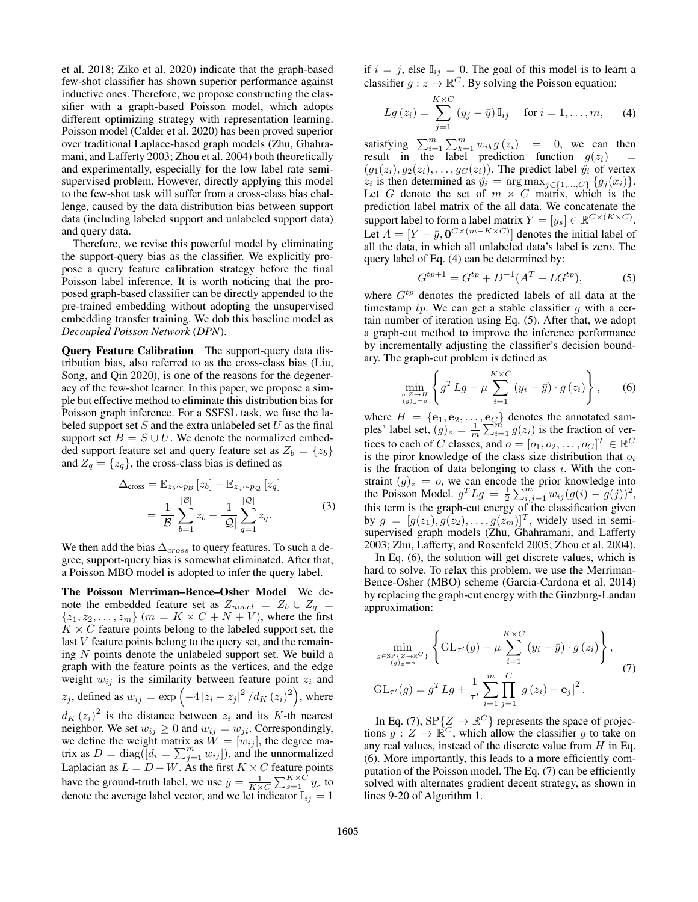et al. 2018; Ziko et al. 2020) indicate that the graph-based few-shot classifier has shown superior performance against inductive ones. Therefore, we propose constructing the classifier with a graph-based Poisson model, which adopts different optimizing strategy with representation learning. Poisson model (Calder et al. 2020) has been proved superior over traditional Laplace-based graph models (Zhu, Ghahramani, and Lafferty 2003; Zhou et al. 2004) both theoretically and experimentally, especially for the low label rate semisupervised problem. However, directly applying this model to the few-shot task will suffer from a cross-class bias challenge, caused by the data distribution bias between support data (including labeled support and unlabeled support data) and query data.

Therefore, we revise this powerful model by eliminating the support-query bias as the classifier. We explicitly propose a query feature calibration strategy before the final Poisson label inference. It is worth noticing that the proposed graph-based classifier can be directly appended to the pre-trained embedding without adopting the unsupervised embedding transfer training. We dob this baseline model as *Decoupled Poisson Network* (*DPN*).

Query Feature Calibration The support-query data distribution bias, also referred to as the cross-class bias (Liu, Song, and Qin 2020), is one of the reasons for the degeneracy of the few-shot learner. In this paper, we propose a simple but effective method to eliminate this distribution bias for Poisson graph inference. For a SSFSL task, we fuse the labeled support set  $S$  and the extra unlabeled set  $U$  as the final support set  $B = S \cup U$ . We denote the normalized embedded support feature set and query feature set as  $Z_b = \{z_b\}$ and  $Z_q = \{z_q\}$ , the cross-class bias is defined as

$$
\Delta_{\text{cross}} = \mathbb{E}_{z_b \sim p_B} [z_b] - \mathbb{E}_{z_q \sim p_Q} [z_q]
$$

$$
= \frac{1}{|\mathcal{B}|} \sum_{b=1}^{|\mathcal{B}|} z_b - \frac{1}{|\mathcal{Q}|} \sum_{q=1}^{|\mathcal{Q}|} z_q.
$$
(3)

We then add the bias  $\Delta_{cross}$  to query features. To such a degree, support-query bias is somewhat eliminated. After that, a Poisson MBO model is adopted to infer the query label.

The Poisson Merriman–Bence–Osher Model We denote the embedded feature set as  $Z_{novel} = Z_b \cup Z_q$  ${z_1, z_2, \ldots, z_m}$  (*m* = *K* × *C* + *N* + *V*), where the first  $K \times C$  feature points belong to the labeled support set, the last V feature points belong to the query set, and the remaining  $N$  points denote the unlabeled support set. We build a graph with the feature points as the vertices, and the edge weight  $w_{ij}$  is the similarity between feature point  $z_i$  and  $z_j$ , defined as  $w_{ij} = \exp\left(-4\left|z_i - z_j\right|^2 / d_K \left(z_i\right)^2\right)$ , where  $d_K(z_i)^2$  is the distance between  $z_i$  and its K-th nearest neighbor. We set  $w_{ij} \geq 0$  and  $w_{ij} = w_{ji}$ . Correspondingly, we define the weight matrix as  $W = [w_{ij}]$ , the degree matrix as  $D = diag([d_i = \sum_{j=1}^m w_{ij}])$ , and the unnormalized Laplacian as  $L = D - W$ . As the first  $K \times C$  feature points have the ground-truth label, we use  $\bar{y} = \frac{1}{K \times C} \sum_{s=1}^{K \times C} y_s$  to denote the average label vector, and we let indicator  $\mathbb{I}_{ij} = 1$ 

if  $i = j$ , else  $\mathbb{I}_{ij} = 0$ . The goal of this model is to learn a classifier  $g : z \to \mathbb{R}^C$ . By solving the Poisson equation:

$$
Lg(z_i) = \sum_{j=1}^{K \times C} (y_j - \bar{y}) \mathbb{I}_{ij} \quad \text{ for } i = 1, \dots, m,
$$
 (4)

satisfying  $\sum_{i=1}^{m} \sum_{k=1}^{m} w_{ik} g(z_i) = 0$ , we can then result in the label prediction function  $g(z_i)$  =  $(g_1(z_i), g_2(z_i), \ldots, g_C(z_i))$ . The predict label  $\hat{y}_i$  of vertex  $z_i$  is then determined as  $\hat{y}_i = \arg \max_{j \in \{1, ..., C\}} \{g_j(x_i)\}.$ Let G denote the set of  $m \times C$  matrix, which is the prediction label matrix of the all data. We concatenate the support label to form a label matrix  $Y = [y_s] \in \mathbb{R}^{C \times (K \times C)}$ . Let  $A = [Y - \bar{y}, 0^{C \times (m - K \times C)}]$  denotes the initial label of all the data, in which all unlabeled data's label is zero. The query label of Eq. (4) can be determined by:

$$
G^{tp+1} = G^{tp} + D^{-1}(A^T - LG^{tp}),
$$
 (5)

where  $G<sup>tp</sup>$  denotes the predicted labels of all data at the timestamp  $tp$ . We can get a stable classifier q with a certain number of iteration using Eq. (5). After that, we adopt a graph-cut method to improve the inference performance by incrementally adjusting the classifier's decision boundary. The graph-cut problem is defined as

$$
\min_{\substack{g:Z\to H\\(g)_z=\circ}}\left\{g^T L g - \mu \sum_{i=1}^{K\times C} \left(y_i - \bar{y}\right) \cdot g\left(z_i\right)\right\},\qquad(6)
$$

where  $H = \{e_1, e_2, \ldots, e_C\}$  denotes the annotated samples' label set,  $(g)_z = \frac{1}{m} \sum_{i=1}^m g(z_i)$  is the fraction of vertices to each of C classes, and  $o = [o_1, o_2, \dots, o_C]^T \in \mathbb{R}^C$ is the piror knowledge of the class size distribution that  $o_i$ is the fraction of data belonging to class  $i$ . With the constraint  $(g)_z = 0$ , we can encode the prior knowledge into the Poisson Model.  $g^T L g = \frac{1}{2} \sum_{i,j=1}^m w_{ij} (g(i) - g(j))^2$ , this term is the graph-cut energy of the classification given by  $g = [g(z_1), g(z_2), \dots, g(z_m)]^T$ , widely used in semisupervised graph models (Zhu, Ghahramani, and Lafferty 2003; Zhu, Lafferty, and Rosenfeld 2005; Zhou et al. 2004).

In Eq. (6), the solution will get discrete values, which is hard to solve. To relax this problem, we use the Merriman-Bence-Osher (MBO) scheme (Garcia-Cardona et al. 2014) by replacing the graph-cut energy with the Ginzburg-Landau approximation:

$$
\min_{\substack{g \in \text{SP}\{Z \to \mathbb{R}^C\} \\ (g)_{z=0}}} \left\{ \text{GL}_{\tau'}(g) - \mu \sum_{i=1}^{K \times C} (y_i - \bar{y}) \cdot g(z_i) \right\},\tag{7}
$$
\n
$$
\text{GL}_{\tau'}(g) = g^T L g + \frac{1}{\tau'} \sum_{i=1}^{m} \prod_{j=1}^{C} |g(z_i) - \mathbf{e}_j|^2.
$$

In Eq. (7),  $SP{Z \rightarrow \mathbb{R}^C}$  represents the space of projections  $g: Z \to \mathbb{R}^C$ , which allow the classifier g to take on any real values, instead of the discrete value from  $H$  in Eq. (6). More importantly, this leads to a more efficiently computation of the Poisson model. The Eq. (7) can be efficiently solved with alternates gradient decent strategy, as shown in lines 9-20 of Algorithm 1.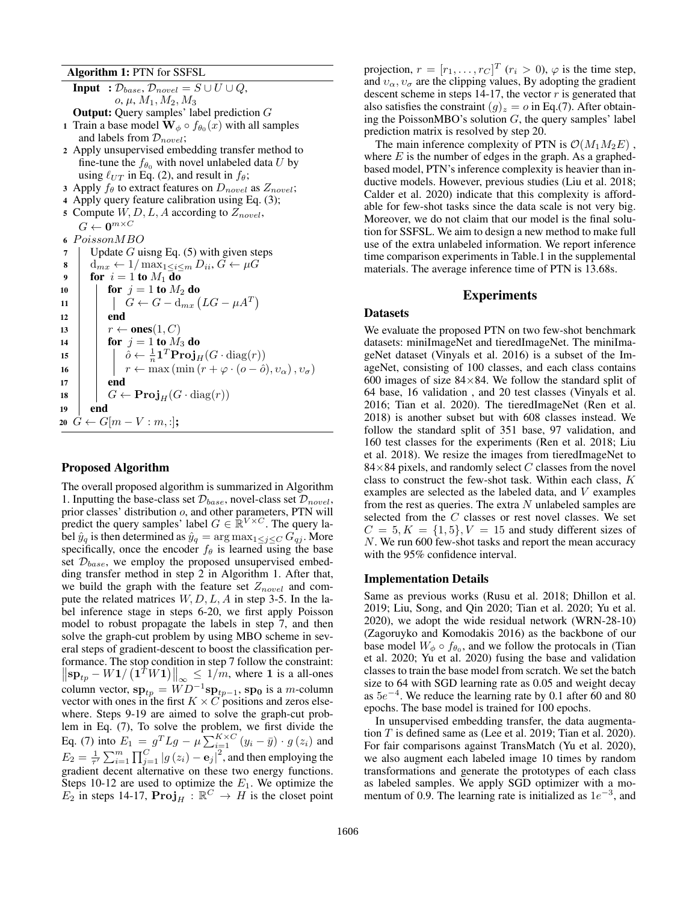Algorithm 1: PTN for SSFSL

**Input** :  $\mathcal{D}_{base}, \overline{\mathcal{D}_{novel} = S \cup U \cup Q}$ ,  $o, \mu, M_1, M_2, M_3$ Output: Query samples' label prediction G 1 Train a base model  $\mathbf{W}_{\phi} \circ f_{\theta_0}(x)$  with all samples and labels from  $\mathcal{D}_{novel}$ ; <sup>2</sup> Apply unsupervised embedding transfer method to fine-tune the  $f_{\theta_0}$  with novel unlabeled data U by using  $\ell_{UT}$  in Eq. (2), and result in  $f_\theta$ ; 3 Apply  $f_\theta$  to extract features on  $D_{novel}$  as  $Z_{novel}$ ; <sup>4</sup> Apply query feature calibration using Eq. (3); 5 Compute  $W, D, L, A$  according to  $Z_{novel}$ ,  $G \leftarrow \mathbf{0}^{m \times C}$ 6 PoissonMBO 7 | Update G uisng Eq.  $(5)$  with given steps  $\mathbf{8} \mid \mathbf{d}_{mx} \leftarrow 1/\max_{1 \leq i \leq m} D_{ii}, G \leftarrow \mu G$ 9 for  $i = 1$  to  $M_1$  do 10 **for**  $j = 1$  to  $M_2$  do 11  $\left|\right|$   $G \leftarrow G - d_{mx} (LG - \mu A^T)$  $12$  end 13  $\vert \quad \vert \quad r \leftarrow \textbf{ones}(1, C)$ 14 **for**  $j = 1$  to  $M_3$  do 15  $\Big|\Big| \Big| \ \hat{o} \leftarrow \frac{1}{n} \mathbf{1}^T \mathbf{Proj}_H(G \cdot \text{diag}(r))$ 16  $\vert \vert \vert \vert r \leftarrow \max(\min(r + \varphi \cdot (o - \hat{o}), v_{\alpha}), v_{\sigma})$  $17$  | end 18  $\Big|$   $G \leftarrow \mathbf{Proj}_H(G \cdot \text{diag}(r))$ <sup>19</sup> end 20  $G \leftarrow G[m-V:m,:];$ 

# Proposed Algorithm

The overall proposed algorithm is summarized in Algorithm 1. Inputting the base-class set  $\mathcal{D}_{base}$ , novel-class set  $\mathcal{D}_{novel}$ , prior classes' distribution o, and other parameters, PTN will predict the query samples' label  $G \in \mathbb{R}^{V \times C}$ . The query label  $\hat{y}_q$  is then determined as  $\hat{y}_q = \arg \max_{1 \leq j \leq C} G_{qj}$ . More specifically, once the encoder  $f_{\theta}$  is learned using the base set  $\mathcal{D}_{base}$ , we employ the proposed unsupervised embedding transfer method in step 2 in Algorithm 1. After that, we build the graph with the feature set  $Z_{novel}$  and compute the related matrices  $W, D, L, A$  in step 3-5. In the label inference stage in steps 6-20, we first apply Poisson model to robust propagate the labels in step 7, and then solve the graph-cut problem by using MBO scheme in several steps of gradient-descent to boost the classification performance. The stop condition in step 7 follow the constraint:  $\left\|\sup_{p} -W1/(\mathbf{1}^T W \mathbf{1})\right\|_{\infty} \leq 1/m$ , where 1 is a all-ones column vector,  $\mathbf{sp}_{tp} = WD^{-1} \mathbf{sp}_{tp-1}$ ,  $\mathbf{sp}_{0}$  is a m-column vector with ones in the first  $K \times C$  positions and zeros elsewhere. Steps 9-19 are aimed to solve the graph-cut problem in Eq. (7), To solve the problem, we first divide the Eq. (7) into  $E_1 = g^T L g - \mu \sum_{i=1}^{K \times C} (y_i - \bar{y}) \cdot g(z_i)$  and  $E_2 = \frac{1}{\tau'} \sum_{i=1}^m \prod_{j=1}^C |g(z_i) - \mathbf{e}_j|^2$ , and then employing the gradient decent alternative on these two energy functions. Steps 10-12 are used to optimize the  $E_1$ . We optimize the  $E_2$  in steps 14-17,  $\text{Proj}_H : \mathbb{R}^C \to H$  is the closet point

projection,  $r = [r_1, \ldots, r_C]^T$   $(r_i > 0)$ ,  $\varphi$  is the time step, and  $v_{\alpha}, v_{\sigma}$  are the clipping values, By adopting the gradient descent scheme in steps 14-17, the vector  $r$  is generated that also satisfies the constraint  $(g)_z = o$  in Eq.(7). After obtaining the PoissonMBO's solution  $G$ , the query samples' label prediction matrix is resolved by step 20.

The main inference complexity of PTN is  $\mathcal{O}(M_1M_2E)$ , where  $E$  is the number of edges in the graph. As a graphedbased model, PTN's inference complexity is heavier than inductive models. However, previous studies (Liu et al. 2018; Calder et al. 2020) indicate that this complexity is affordable for few-shot tasks since the data scale is not very big. Moreover, we do not claim that our model is the final solution for SSFSL. We aim to design a new method to make full use of the extra unlabeled information. We report inference time comparison experiments in Table.1 in the supplemental materials. The average inference time of PTN is 13.68s.

# Experiments

### **Datasets**

We evaluate the proposed PTN on two few-shot benchmark datasets: miniImageNet and tieredImageNet. The miniImageNet dataset (Vinyals et al. 2016) is a subset of the ImageNet, consisting of 100 classes, and each class contains 600 images of size  $84\times84$ . We follow the standard split of 64 base, 16 validation , and 20 test classes (Vinyals et al. 2016; Tian et al. 2020). The tieredImageNet (Ren et al. 2018) is another subset but with 608 classes instead. We follow the standard split of 351 base, 97 validation, and 160 test classes for the experiments (Ren et al. 2018; Liu et al. 2018). We resize the images from tieredImageNet to  $84\times84$  pixels, and randomly select C classes from the novel class to construct the few-shot task. Within each class, K examples are selected as the labeled data, and V examples from the rest as queries. The extra  $N$  unlabeled samples are selected from the C classes or rest novel classes. We set  $C = 5, K = \{1, 5\}, V = 15$  and study different sizes of N. We run 600 few-shot tasks and report the mean accuracy with the 95% confidence interval.

#### Implementation Details

Same as previous works (Rusu et al. 2018; Dhillon et al. 2019; Liu, Song, and Qin 2020; Tian et al. 2020; Yu et al. 2020), we adopt the wide residual network (WRN-28-10) (Zagoruyko and Komodakis 2016) as the backbone of our base model  $W_{\phi} \circ f_{\theta_0}$ , and we follow the protocals in (Tian et al. 2020; Yu et al. 2020) fusing the base and validation classes to train the base model from scratch. We set the batch size to 64 with SGD learning rate as 0.05 and weight decay as  $5e^{-4}$ . We reduce the learning rate by 0.1 after 60 and 80 epochs. The base model is trained for 100 epochs.

In unsupervised embedding transfer, the data augmentation  $T$  is defined same as (Lee et al. 2019; Tian et al. 2020). For fair comparisons against TransMatch (Yu et al. 2020), we also augment each labeled image 10 times by random transformations and generate the prototypes of each class as labeled samples. We apply SGD optimizer with a momentum of 0.9. The learning rate is initialized as  $1e^{-3}$ , and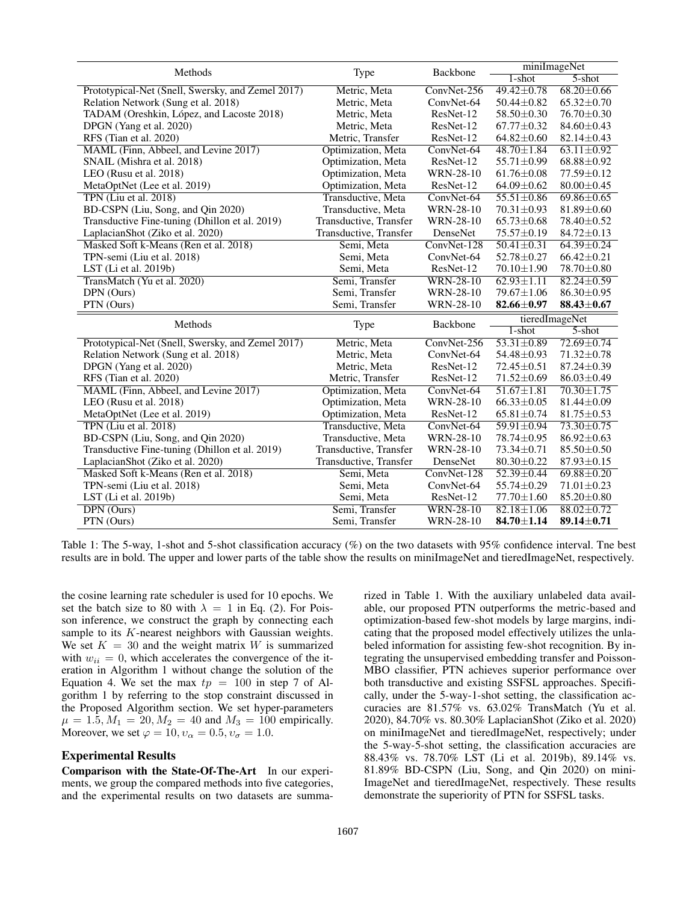| Methods                                                             | Type                     | Backbone         | miniImageNet     |                             |
|---------------------------------------------------------------------|--------------------------|------------------|------------------|-----------------------------|
|                                                                     |                          |                  | $1$ -shot        | $5 - shot$                  |
| Prototypical-Net (Snell, Swersky, and Zemel 2017)                   | Metric, Meta             | ConvNet-256      | $49.42 + 0.78$   | $68.20 \pm 0.66$            |
| Relation Network (Sung et al. 2018)                                 | Metric, Meta             | ConvNet-64       | $50.44 \pm 0.82$ | $65.32 \pm 0.70$            |
| TADAM (Oreshkin, López, and Lacoste 2018)                           | Metric, Meta             | ResNet-12        | $58.50 \pm 0.30$ | 76.70 ± 0.30                |
| DPGN (Yang et al. 2020)                                             | Metric, Meta             | ResNet-12        | $67.77 \pm 0.32$ | $84.60 \pm 0.43$            |
| RFS (Tian et al. 2020)                                              | Metric, Transfer         | ResNet-12        | $64.82 \pm 0.60$ | $82.14 \pm 0.43$            |
| MAML (Finn, Abbeel, and Levine 2017)                                | Optimization, Meta       | ConvNet-64       | 48.70±1.84       | $63.11 \pm 0.92$            |
| SNAIL (Mishra et al. 2018)                                          | Optimization, Meta       | ResNet-12        | $55.71 \pm 0.99$ | $68.88 \pm 0.92$            |
| LEO (Rusu et al. 2018)                                              | Optimization, Meta       | <b>WRN-28-10</b> | $61.76 \pm 0.08$ | 77.59 ± 0.12                |
| MetaOptNet (Lee et al. 2019)                                        | Optimization, Meta       | ResNet-12        | $64.09 \pm 0.62$ | $80.00 \pm 0.45$            |
| TPN (Liu et al. 2018)                                               | Transductive, Meta       | ConvNet-64       | $55.51 \pm 0.86$ | $69.86 \pm 0.65$            |
| BD-CSPN (Liu, Song, and Qin 2020)                                   | Transductive, Meta       | WRN-28-10        | $70.31 \pm 0.93$ | $81.89 \pm 0.60$            |
| Transductive Fine-tuning (Dhillon et al. 2019)                      | Transductive, Transfer   | WRN-28-10        | $65.73 \pm 0.68$ | 78.40±0.52                  |
| LaplacianShot (Ziko et al. 2020)                                    | Transductive, Transfer   | DenseNet         | 75.57±0.19       | $84.72 \pm 0.13$            |
| Masked Soft k-Means (Ren et al. 2018)                               | Semi, Meta               | ConvNet-128      | $50.41 \pm 0.31$ | $64.39 \pm 0.24$            |
| TPN-semi (Liu et al. 2018)                                          | Semi, Meta               | ConvNet-64       | 52.78±0.27       | $66.42 \pm 0.21$            |
| LST (Li et al. 2019b)                                               | Semi, Meta               | ResNet-12        | $70.10 \pm 1.90$ | 78.70±0.80                  |
| TransMatch (Yu et al. 2020)                                         | Semi, Transfer           | <b>WRN-28-10</b> | $62.93 \pm 1.11$ | $82.24 \pm 0.59$            |
| DPN (Ours)                                                          | Semi, Transfer           | WRN-28-10        | $79.67 \pm 1.06$ | $86.30 \pm 0.95$            |
|                                                                     |                          |                  |                  |                             |
| PTN (Ours)                                                          | Semi, Transfer           | <b>WRN-28-10</b> | $82.66 \pm 0.97$ | $88.43 \pm 0.67$            |
|                                                                     |                          |                  |                  |                             |
| Methods                                                             | Type                     | Backbone         | $1$ -shot        | tieredImageNet<br>$5$ -shot |
| Prototypical-Net (Snell, Swersky, and Zemel 2017)                   | Metric, Meta             | ConvNet-256      | $53.31 \pm 0.89$ | $72.69 \pm 0.74$            |
| Relation Network (Sung et al. 2018)                                 | Metric, Meta             | ConvNet-64       | $54.48 \pm 0.93$ | $71.32 \pm 0.78$            |
| DPGN (Yang et al. 2020)                                             | Metric, Meta             | ResNet-12        | 72.45±0.51       | $87.24 \pm 0.39$            |
| RFS (Tian et al. 2020)                                              | Metric, Transfer         | ResNet-12        | $71.52 \pm 0.69$ | $86.03 \pm 0.49$            |
| MAML (Finn, Abbeel, and Levine 2017)                                | Optimization, Meta       | ConvNet-64       | $51.67 \pm 1.81$ | $70.30 \pm 1.75$            |
| LEO (Rusu et al. 2018)                                              | Optimization, Meta       | <b>WRN-28-10</b> | $66.33 \pm 0.05$ | $81.44 \pm 0.09$            |
| MetaOptNet (Lee et al. 2019)                                        | Optimization, Meta       | ResNet-12        | $65.81 \pm 0.74$ | $81.75 \pm 0.53$            |
| TPN (Liu et al. 2018)                                               | Transductive, Meta       | ConvNet-64       | 59.91±0.94       | $73.30 \pm 0.75$            |
|                                                                     | Transductive, Meta       | <b>WRN-28-10</b> | 78.74±0.95       | $86.92 \pm 0.63$            |
| BD-CSPN (Liu, Song, and Qin 2020)                                   | Transductive, Transfer   | WRN-28-10        | $73.34 \pm 0.71$ | $85.50 \pm 0.50$            |
| Transductive Fine-tuning (Dhillon et al. 2019)                      | Transductive, Transfer   | DenseNet         | 80.30±0.22       | $87.93 \pm 0.15$            |
| LaplacianShot (Ziko et al. 2020)                                    |                          | ConvNet-128      | $52.39 \pm 0.44$ | $69.88 \pm 0.20$            |
| Masked Soft k-Means (Ren et al. 2018)<br>TPN-semi (Liu et al. 2018) | Semi, Meta<br>Semi, Meta | ConvNet-64       | $55.74 \pm 0.29$ | $71.01 \pm 0.23$            |
|                                                                     | Semi, Meta               | ResNet-12        | $77.70 \pm 1.60$ | $85.20 \pm 0.80$            |
| LST (Li et al. 2019b)<br>DPN (Ours)                                 | Semi, Transfer           | <b>WRN-28-10</b> | $82.18 \pm 1.06$ | $88.02 \pm 0.72$            |
| PTN (Ours)                                                          | Semi, Transfer           | <b>WRN-28-10</b> | $84.70 \pm 1.14$ | $89.14 \pm 0.71$            |

Table 1: The 5-way, 1-shot and 5-shot classification accuracy (%) on the two datasets with 95% confidence interval. Tne best results are in bold. The upper and lower parts of the table show the results on miniImageNet and tieredImageNet, respectively.

the cosine learning rate scheduler is used for 10 epochs. We set the batch size to 80 with  $\lambda = 1$  in Eq. (2). For Poisson inference, we construct the graph by connecting each sample to its K-nearest neighbors with Gaussian weights. We set  $K = 30$  and the weight matrix W is summarized with  $w_{ii} = 0$ , which accelerates the convergence of the iteration in Algorithm 1 without change the solution of the Equation 4. We set the max  $tp = 100$  in step 7 of Algorithm 1 by referring to the stop constraint discussed in the Proposed Algorithm section. We set hyper-parameters  $\mu = 1.5, M_1 = 20, M_2 = 40$  and  $M_3 = 100$  empirically. Moreover, we set  $\varphi = 10, v_{\alpha} = 0.5, v_{\sigma} = 1.0$ .

# Experimental Results

Comparison with the State-Of-The-Art In our experiments, we group the compared methods into five categories, and the experimental results on two datasets are summarized in Table 1. With the auxiliary unlabeled data available, our proposed PTN outperforms the metric-based and optimization-based few-shot models by large margins, indicating that the proposed model effectively utilizes the unlabeled information for assisting few-shot recognition. By integrating the unsupervised embedding transfer and Poisson-MBO classifier, PTN achieves superior performance over both transductive and existing SSFSL approaches. Specifically, under the 5-way-1-shot setting, the classification accuracies are 81.57% vs. 63.02% TransMatch (Yu et al. 2020), 84.70% vs. 80.30% LaplacianShot (Ziko et al. 2020) on miniImageNet and tieredImageNet, respectively; under the 5-way-5-shot setting, the classification accuracies are 88.43% vs. 78.70% LST (Li et al. 2019b), 89.14% vs. 81.89% BD-CSPN (Liu, Song, and Qin 2020) on mini-ImageNet and tieredImageNet, respectively. These results demonstrate the superiority of PTN for SSFSL tasks.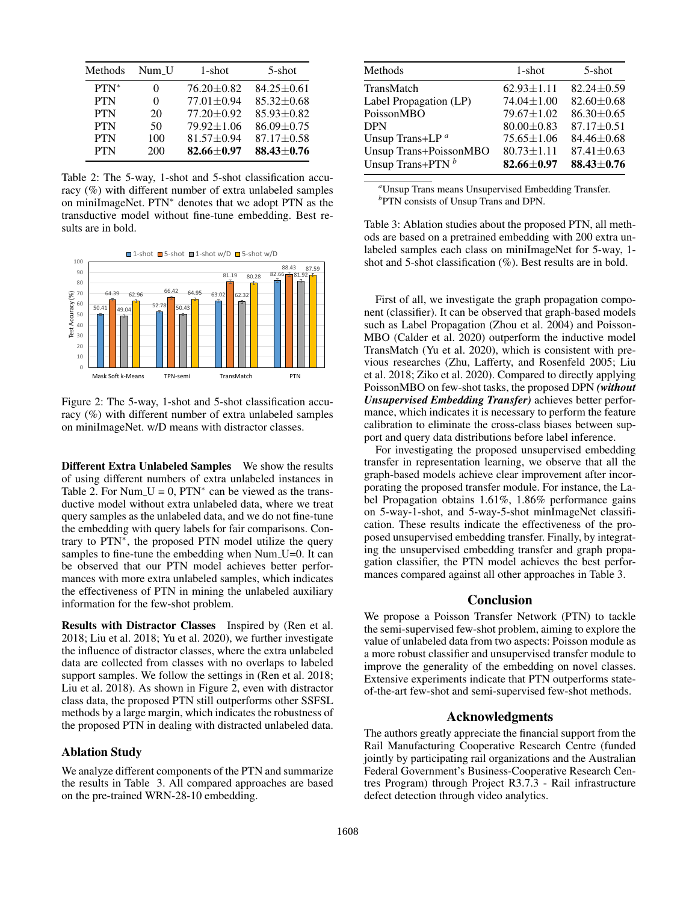| Methods    | Num U | 1-shot           | 5-shot           |
|------------|-------|------------------|------------------|
| $PTN^*$    | 0     | $76.20 \pm 0.82$ | $84.25 \pm 0.61$ |
| <b>PTN</b> | 0     | $77.01 \pm 0.94$ | $85.32 \pm 0.68$ |
| <b>PTN</b> | 20    | $77.20 \pm 0.92$ | $85.93 \pm 0.82$ |
| <b>PTN</b> | 50    | $79.92 \pm 1.06$ | $86.09 \pm 0.75$ |
| <b>PTN</b> | 100   | 81.57±0.94       | $87.17 \pm 0.58$ |
| <b>PTN</b> | 200   | $82.66 + 0.97$   | $88.43 \pm 0.76$ |

Table 2: The 5-way, 1-shot and 5-shot classification accuracy (%) with different number of extra unlabeled samples on miniImageNet. PTN<sup>∗</sup> denotes that we adopt PTN as the transductive model without fine-tune embedding. Best results are in bold.



Figure 2: The 5-way, 1-shot and 5-shot classification accuracy (%) with different number of extra unlabeled samples on miniImageNet. w/D means with distractor classes.

Different Extra Unlabeled Samples We show the results of using different numbers of extra unlabeled instances in Table 2. For Num<sub>-</sub>U = 0, PTN<sup>\*</sup> can be viewed as the transductive model without extra unlabeled data, where we treat query samples as the unlabeled data, and we do not fine-tune the embedding with query labels for fair comparisons. Contrary to PTN<sup>∗</sup> , the proposed PTN model utilize the query samples to fine-tune the embedding when Num<sub>-U=0</sub>. It can be observed that our PTN model achieves better performances with more extra unlabeled samples, which indicates the effectiveness of PTN in mining the unlabeled auxiliary information for the few-shot problem.

Results with Distractor Classes Inspired by (Ren et al. 2018; Liu et al. 2018; Yu et al. 2020), we further investigate the influence of distractor classes, where the extra unlabeled data are collected from classes with no overlaps to labeled support samples. We follow the settings in (Ren et al. 2018; Liu et al. 2018). As shown in Figure 2, even with distractor class data, the proposed PTN still outperforms other SSFSL methods by a large margin, which indicates the robustness of the proposed PTN in dealing with distracted unlabeled data.

# Ablation Study

We analyze different components of the PTN and summarize the results in Table 3. All compared approaches are based on the pre-trained WRN-28-10 embedding.

| Methods                       | $1$ -shot        | $5$ -shot        |
|-------------------------------|------------------|------------------|
| TransMatch                    | $62.93 \pm 1.11$ | $82.24 \pm 0.59$ |
| Label Propagation (LP)        | $74.04 \pm 1.00$ | $82.60 \pm 0.68$ |
| PoissonMBO                    | $79.67 \pm 1.02$ | $86.30 \pm 0.65$ |
| DPN                           | $80.00 \pm 0.83$ | $87.17 \pm 0.51$ |
| Unsup Trans+LP <sup>a</sup>   | $75.65 \pm 1.06$ | $84.46 \pm 0.68$ |
| <b>Unsup Trans+PoissonMBO</b> | $80.73 \pm 1.11$ | $87.41 \pm 0.63$ |
| Unsup Trans+PTN $^b$          | $82.66 + 0.97$   | $88.43 \pm 0.76$ |
|                               |                  |                  |

*<sup>a</sup>*Unsup Trans means Unsupervised Embedding Transfer. *b* PTN consists of Unsup Trans and DPN.

Table 3: Ablation studies about the proposed PTN, all methods are based on a pretrained embedding with 200 extra unlabeled samples each class on miniImageNet for 5-way, 1 shot and 5-shot classification (%). Best results are in bold.

First of all, we investigate the graph propagation component (classifier). It can be observed that graph-based models such as Label Propagation (Zhou et al. 2004) and Poisson-MBO (Calder et al. 2020) outperform the inductive model TransMatch (Yu et al. 2020), which is consistent with previous researches (Zhu, Lafferty, and Rosenfeld 2005; Liu et al. 2018; Ziko et al. 2020). Compared to directly applying PoissonMBO on few-shot tasks, the proposed DPN *(without Unsupervised Embedding Transfer)* achieves better performance, which indicates it is necessary to perform the feature calibration to eliminate the cross-class biases between support and query data distributions before label inference.

For investigating the proposed unsupervised embedding transfer in representation learning, we observe that all the graph-based models achieve clear improvement after incorporating the proposed transfer module. For instance, the Label Propagation obtains 1.61%, 1.86% performance gains on 5-way-1-shot, and 5-way-5-shot minImageNet classification. These results indicate the effectiveness of the proposed unsupervised embedding transfer. Finally, by integrating the unsupervised embedding transfer and graph propagation classifier, the PTN model achieves the best performances compared against all other approaches in Table 3.

# Conclusion

We propose a Poisson Transfer Network (PTN) to tackle the semi-supervised few-shot problem, aiming to explore the value of unlabeled data from two aspects: Poisson module as a more robust classifier and unsupervised transfer module to improve the generality of the embedding on novel classes. Extensive experiments indicate that PTN outperforms stateof-the-art few-shot and semi-supervised few-shot methods.

# Acknowledgments

The authors greatly appreciate the financial support from the Rail Manufacturing Cooperative Research Centre (funded jointly by participating rail organizations and the Australian Federal Government's Business-Cooperative Research Centres Program) through Project R3.7.3 - Rail infrastructure defect detection through video analytics.